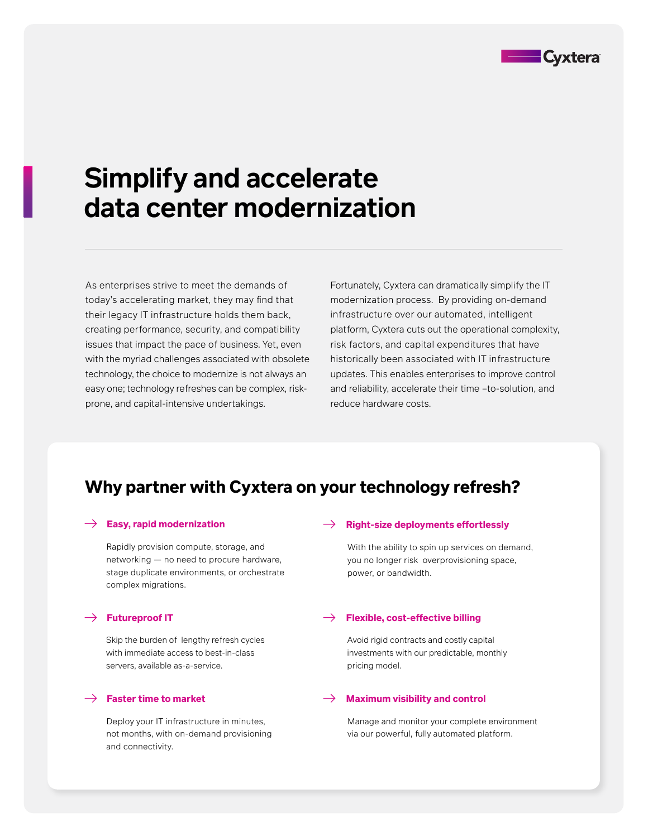

# **Simplify and accelerate data center modernization**

As enterprises strive to meet the demands of today's accelerating market, they may find that their legacy IT infrastructure holds them back, creating performance, security, and compatibility issues that impact the pace of business. Yet, even with the myriad challenges associated with obsolete technology, the choice to modernize is not always an easy one; technology refreshes can be complex, riskprone, and capital-intensive undertakings.

Fortunately, Cyxtera can dramatically simplify the IT modernization process. By providing on-demand infrastructure over our automated, intelligent platform, Cyxtera cuts out the operational complexity, risk factors, and capital expenditures that have historically been associated with IT infrastructure updates. This enables enterprises to improve control and reliability, accelerate their time –to-solution, and reduce hardware costs.

## **Why partner with Cyxtera on your technology refresh?**

Rapidly provision compute, storage, and networking — no need to procure hardware, stage duplicate environments, or orchestrate complex migrations.

Skip the burden of lengthy refresh cycles with immediate access to best-in-class servers, available as-a-service.

Deploy your IT infrastructure in minutes, not months, with on-demand provisioning and connectivity.

#### $\rightarrow$  Easy, rapid modernization  $\rightarrow$  Right-size deployments effortlessly

With the ability to spin up services on demand, you no longer risk overprovisioning space, power, or bandwidth.

#### $\rightarrow$  Futureproof IT  $\rightarrow$  Flexible, cost-effective billing

Avoid rigid contracts and costly capital investments with our predictable, monthly pricing model.

#### $\rightarrow$  Faster time to market  $\rightarrow$  Maximum visibility and control

Manage and monitor your complete environment via our powerful, fully automated platform.